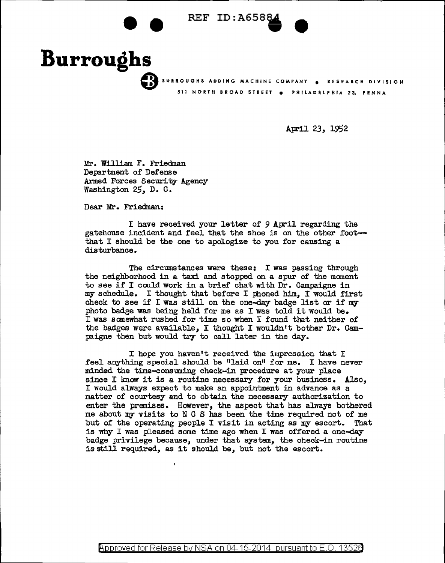## REF ID: A6588

**Burroughs** 511 NORTH BROAD STREET e PHILADELPHIA 23, PENNA

April *23,* 1952

Mr. William F. Friedman Department of Defense Armed Forces Security Agency Washington 25, D. C.

-<br>.<br>..

Dear Mr. Friedman:

I have received your letter of 9 April regarding the gatehouse incident and feel that the shoe is on the other footthat I should be the one to apologize to you for causing a disturbance.

The circumstances were these: I was passing through the neighborhood in a taxi and stopped on a spur of the moment to see if I could work in a brief chat with  $Dr$ . Campaigne in my schedule. I thought that before I phoned him, I would first check to see if I was still on the one-day badge list or if my photo badge was being held for me as I was told it would be. I was somewhat rushed for time so when I found that neither of the badges were available, I thought I wouldn't bother Dr. Campaigne then but would try to call later in the day.

I hope you haven't received the impression that I feel anything special should be "laid on" for me. I have never minded the time-consuming check-in procedure at your place since I know it is a routine necessary for your business. Also, I would always expect to make an appointment in advance as a matter of courtesy and to obtain the necessary authorization to enter the premises. However, the aspect that has always bothered me about my visits to N C S has been the time required not of me but of the operating people I visit in acting as my escort. That is why I was pleased some time ago when I was offered a one-day badge privilege because, under that system, the check-in routine is still required, as it should be, but not the escort.